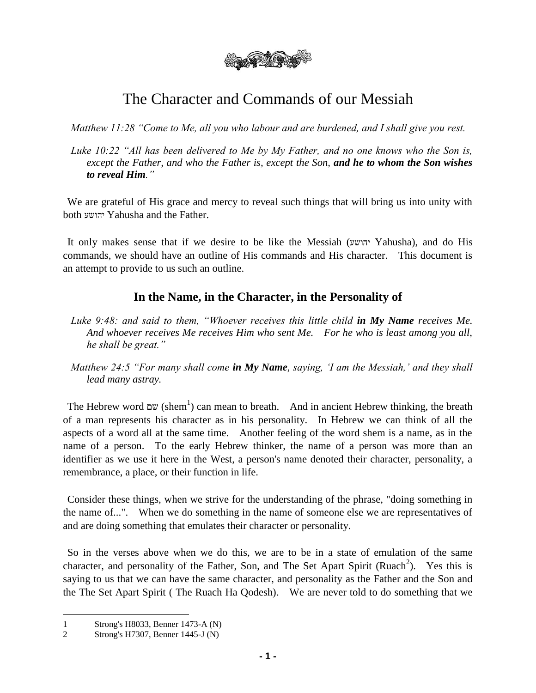

# The Character and Commands of our Messiah

*Matthew 11:28 "Come to Me, all you who labour and are burdened, and I shall give you rest.*

*Luke 10:22 "All has been delivered to Me by My Father, and no one knows who the Son is, except the Father, and who the Father is, except the Son, and he to whom the Son wishes to reveal Him."*

We are grateful of His grace and mercy to reveal such things that will bring us into unity with both יהושע Yahusha and the Father.

It only makes sense that if we desire to be like the Messiah (יהושע Yahusha), and do His commands, we should have an outline of His commands and His character. This document is an attempt to provide to us such an outline.

#### **In the Name, in the Character, in the Personality of**

- Luke 9:48: and said to them, "Whoever receives this little child **in My Name** receives Me. *And whoever receives Me receives Him who sent Me. For he who is least among you all, he shall be great."*
- *Matthew 24:5 "For many shall come in My Name, saying, 'I am the Messiah,' and they shall lead many astray.*

The Hebrew word שם) can mean to breath. And in ancient Hebrew thinking, the breath of a man represents his character as in his personality. In Hebrew we can think of all the aspects of a word all at the same time. Another feeling of the word shem is a name, as in the name of a person. To the early Hebrew thinker, the name of a person was more than an identifier as we use it here in the West, a person's name denoted their character, personality, a remembrance, a place, or their function in life.

Consider these things, when we strive for the understanding of the phrase, "doing something in the name of...". When we do something in the name of someone else we are representatives of and are doing something that emulates their character or personality.

So in the verses above when we do this, we are to be in a state of emulation of the same character, and personality of the Father, Son, and The Set Apart Spirit (Ruach<sup>2</sup>). Yes this is saying to us that we can have the same character, and personality as the Father and the Son and the The Set Apart Spirit ( The Ruach Ha Qodesh). We are never told to do something that we

 $\overline{\phantom{a}}$ 

<sup>1</sup> Strong's H8033, Benner 1473-A (N)

<sup>2</sup> Strong's H7307, Benner 1445-J (N)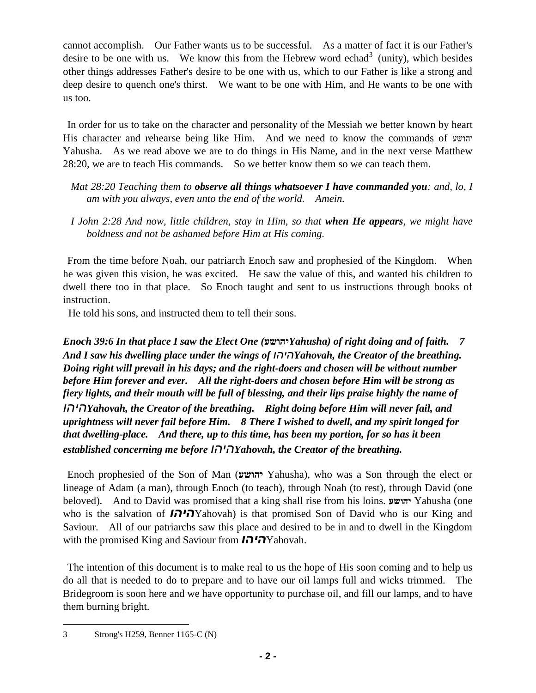cannot accomplish. Our Father wants us to be successful. As a matter of fact it is our Father's desire to be one with us. We know this from the Hebrew word echad<sup>3</sup> (unity), which besides other things addresses Father's desire to be one with us, which to our Father is like a strong and deep desire to quench one's thirst. We want to be one with Him, and He wants to be one with us too.

In order for us to take on the character and personality of the Messiah we better known by heart His character and rehearse being like Him. And we need to know the commands of יהושע Yahusha. As we read above we are to do things in His Name, and in the next verse Matthew 28:20, we are to teach His commands. So we better know them so we can teach them.

- *Mat 28:20 Teaching them to observe all things whatsoever I have commanded you: and, lo, I am with you always, even unto the end of the world. Amein.*
- *I John 2:28 And now, little children, stay in Him, so that when He appears, we might have boldness and not be ashamed before Him at His coming.*

From the time before Noah, our patriarch Enoch saw and prophesied of the Kingdom. When he was given this vision, he was excited. He saw the value of this, and wanted his children to dwell there too in that place. So Enoch taught and sent to us instructions through books of instruction.

He told his sons, and instructed them to tell their sons.

*Enoch 39:6 In that place I saw the Elect One (***יהושע***Yahusha) of right doing and of faith. 7 And I saw his dwelling place under the wings of היהוYahovah, the Creator of the breathing. Doing right will prevail in his days; and the right-doers and chosen will be without number before Him forever and ever. All the right-doers and chosen before Him will be strong as fiery lights, and their mouth will be full of blessing, and their lips praise highly the name of היהוYahovah, the Creator of the breathing. Right doing before Him will never fail, and uprightness will never fail before Him. 8 There I wished to dwell, and my spirit longed for that dwelling-place. And there, up to this time, has been my portion, for so has it been* 

*established concerning me before היהוYahovah, the Creator of the breathing.* 

Enoch prophesied of the Son of Man (**יהושע** Yahusha), who was a Son through the elect or lineage of Adam (a man), through Enoch (to teach), through Noah (to rest), through David (one beloved). And to David was promised that a king shall rise from his loins. **יהושע** Yahusha (one who is the salvation of *היהו*Yahovah) is that promised Son of David who is our King and Saviour. All of our patriarchs saw this place and desired to be in and to dwell in the Kingdom with the promised King and Saviour from *היהו*Yahovah.

The intention of this document is to make real to us the hope of His soon coming and to help us do all that is needed to do to prepare and to have our oil lamps full and wicks trimmed. The Bridegroom is soon here and we have opportunity to purchase oil, and fill our lamps, and to have them burning bright.

 $\overline{a}$ 3 Strong's H259, Benner 1165-C (N)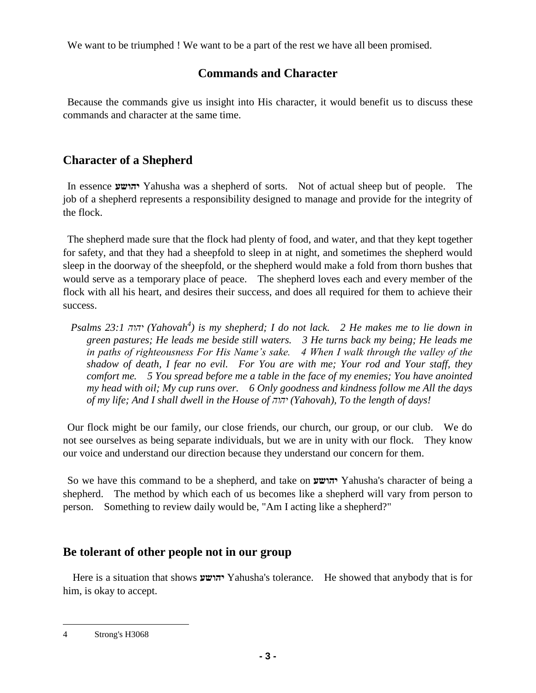We want to be triumphed ! We want to be a part of the rest we have all been promised.

# **Commands and Character**

Because the commands give us insight into His character, it would benefit us to discuss these commands and character at the same time.

# **Character of a Shepherd**

In essence **יהושע** Yahusha was a shepherd of sorts. Not of actual sheep but of people. The job of a shepherd represents a responsibility designed to manage and provide for the integrity of the flock.

The shepherd made sure that the flock had plenty of food, and water, and that they kept together for safety, and that they had a sheepfold to sleep in at night, and sometimes the shepherd would sleep in the doorway of the sheepfold, or the shepherd would make a fold from thorn bushes that would serve as a temporary place of peace. The shepherd loves each and every member of the flock with all his heart, and desires their success, and does all required for them to achieve their success.

*Psalms 23:1 יהוה) Yahovah<sup>4</sup> ) is my shepherd; I do not lack. 2 He makes me to lie down in green pastures; He leads me beside still waters. 3 He turns back my being; He leads me in paths of righteousness For His Name's sake. 4 When I walk through the valley of the shadow of death, I fear no evil. For You are with me; Your rod and Your staff, they comfort me. 5 You spread before me a table in the face of my enemies; You have anointed my head with oil; My cup runs over. 6 Only goodness and kindness follow me All the days of my life; And I shall dwell in the House of יהוה) Yahovah), To the length of days!* 

Our flock might be our family, our close friends, our church, our group, or our club. We do not see ourselves as being separate individuals, but we are in unity with our flock. They know our voice and understand our direction because they understand our concern for them.

So we have this command to be a shepherd, and take on **יהושע** Yahusha's character of being a shepherd. The method by which each of us becomes like a shepherd will vary from person to person. Something to review daily would be, "Am I acting like a shepherd?"

# **Be tolerant of other people not in our group**

Here is a situation that shows **יהושע** Yahusha's tolerance. He showed that anybody that is for him, is okay to accept.

 $\overline{a}$ 4 Strong's H3068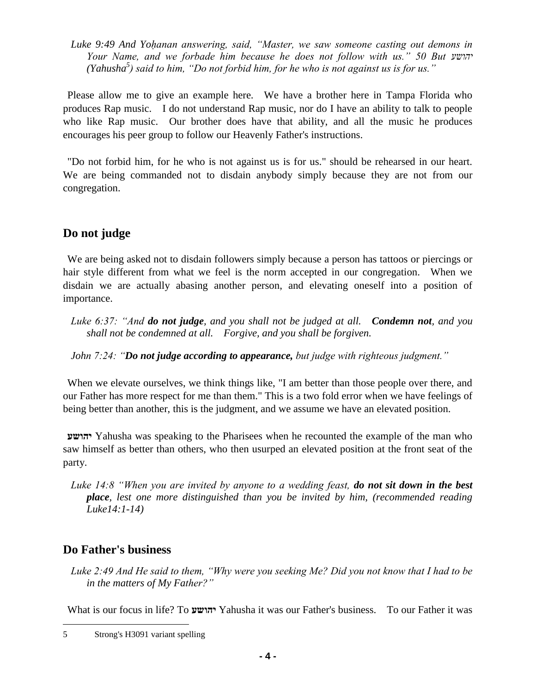*Luke 9:49 And Yoḥanan answering, said, "Master, we saw someone casting out demons in Your Name, and we forbade him because he does not follow with us." 50 But יהושע (Yahusha<sup>5</sup> ) said to him, "Do not forbid him, for he who is not against us is for us."* 

Please allow me to give an example here. We have a brother here in Tampa Florida who produces Rap music. I do not understand Rap music, nor do I have an ability to talk to people who like Rap music. Our brother does have that ability, and all the music he produces encourages his peer group to follow our Heavenly Father's instructions.

"Do not forbid him, for he who is not against us is for us." should be rehearsed in our heart. We are being commanded not to disdain anybody simply because they are not from our congregation.

# **Do not judge**

We are being asked not to disdain followers simply because a person has tattoos or piercings or hair style different from what we feel is the norm accepted in our congregation. When we disdain we are actually abasing another person, and elevating oneself into a position of importance.

*Luke 6:37: "And do not judge, and you shall not be judged at all. Condemn not, and you shall not be condemned at all. Forgive, and you shall be forgiven.* 

*John 7:24: "Do not judge according to appearance, but judge with righteous judgment."*

When we elevate ourselves, we think things like, "I am better than those people over there, and our Father has more respect for me than them." This is a two fold error when we have feelings of being better than another, this is the judgment, and we assume we have an elevated position.

**יהושע** Yahusha was speaking to the Pharisees when he recounted the example of the man who saw himself as better than others, who then usurped an elevated position at the front seat of the party.

*Luke 14:8 "When you are invited by anyone to a wedding feast, do not sit down in the best place, lest one more distinguished than you be invited by him, (recommended reading Luke14:1-14)*

## **Do Father's business**

 $\overline{a}$ 

*Luke 2:49 And He said to them, "Why were you seeking Me? Did you not know that I had to be in the matters of My Father?"*

What is our focus in life? To **יהושע** Yahusha it was our Father's business. To our Father it was

<sup>5</sup> Strong's H3091 variant spelling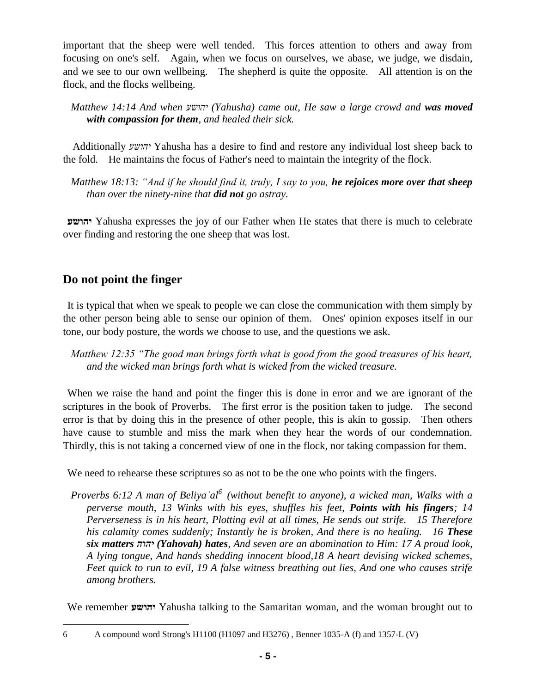important that the sheep were well tended. This forces attention to others and away from focusing on one's self. Again, when we focus on ourselves, we abase, we judge, we disdain, and we see to our own wellbeing. The shepherd is quite the opposite. All attention is on the flock, and the flocks wellbeing.

*Matthew 14:14 And when יהושע) Yahusha) came out, He saw a large crowd and was moved with compassion for them, and healed their sick.*

Additionally *יהושע* Yahusha has a desire to find and restore any individual lost sheep back to the fold. He maintains the focus of Father's need to maintain the integrity of the flock.

*Matthew 18:13: "And if he should find it, truly, I say to you, he rejoices more over that sheep than over the ninety-nine that did not go astray.*

**יהושע** Yahusha expresses the joy of our Father when He states that there is much to celebrate over finding and restoring the one sheep that was lost.

# **Do not point the finger**

It is typical that when we speak to people we can close the communication with them simply by the other person being able to sense our opinion of them. Ones' opinion exposes itself in our tone, our body posture, the words we choose to use, and the questions we ask.

*Matthew 12:35 "The good man brings forth what is good from the good treasures of his heart, and the wicked man brings forth what is wicked from the wicked treasure.*

When we raise the hand and point the finger this is done in error and we are ignorant of the scriptures in the book of Proverbs. The first error is the position taken to judge. The second error is that by doing this in the presence of other people, this is akin to gossip. Then others have cause to stumble and miss the mark when they hear the words of our condemnation. Thirdly, this is not taking a concerned view of one in the flock, nor taking compassion for them.

We need to rehearse these scriptures so as not to be the one who points with the fingers.

*Proverbs 6:12 A man of Beliya'al*<sup>6</sup> (without benefit to anyone), a wicked man, Walks with a *perverse mouth, 13 Winks with his eyes, shuffles his feet, Points with his fingers; 14 Perverseness is in his heart, Plotting evil at all times, He sends out strife. 15 Therefore his calamity comes suddenly; Instantly he is broken, And there is no healing. 16 These six matters יהוה) Yahovah) hates, And seven are an abomination to Him: 17 A proud look, A lying tongue, And hands shedding innocent blood,18 A heart devising wicked schemes, Feet quick to run to evil, 19 A false witness breathing out lies, And one who causes strife among brothers.*

We remember **יהושע** Yahusha talking to the Samaritan woman, and the woman brought out to

 $\overline{a}$ 6 A compound word Strong's H1100 (H1097 and H3276) , Benner 1035-A (f) and 1357-L (V)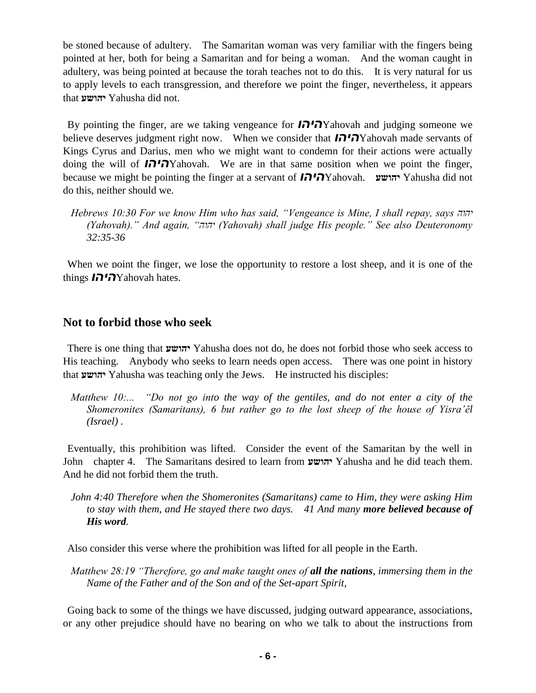be stoned because of adultery. The Samaritan woman was very familiar with the fingers being pointed at her, both for being a Samaritan and for being a woman. And the woman caught in adultery, was being pointed at because the torah teaches not to do this. It is very natural for us to apply levels to each transgression, and therefore we point the finger, nevertheless, it appears that **יהושע** Yahusha did not.

By pointing the finger, are we taking vengeance for *היהו*Yahovah and judging someone we believe deserves judgment right now. When we consider that *היהו*Yahovah made servants of Kings Cyrus and Darius, men who we might want to condemn for their actions were actually doing the will of *היהו*Yahovah. We are in that same position when we point the finger, because we might be pointing the finger at a servant of *היהו*Yahovah. **יהושע** Yahusha did not do this, neither should we.

*Hebrews 10:30 For we know Him who has said, "Vengeance is Mine, I shall repay, says יהוה (Yahovah)." And again, "יהוה) Yahovah) shall judge His people." See also Deuteronomy 32:35-36*

When we point the finger, we lose the opportunity to restore a lost sheep, and it is one of the things *היהו*Yahovah hates.

#### **Not to forbid those who seek**

There is one thing that **יהושע** Yahusha does not do, he does not forbid those who seek access to His teaching. Anybody who seeks to learn needs open access. There was one point in history that **יהושע** Yahusha was teaching only the Jews. He instructed his disciples:

*Matthew 10:... "Do not go into the way of the gentiles, and do not enter a city of the Shomeronites (Samaritans), 6 but rather go to the lost sheep of the house of Yisra'ĕl (Israel) .*

Eventually, this prohibition was lifted. Consider the event of the Samaritan by the well in John chapter 4. The Samaritans desired to learn from **יהושע** Yahusha and he did teach them. And he did not forbid them the truth.

*John 4:40 Therefore when the Shomeronites (Samaritans) came to Him, they were asking Him to stay with them, and He stayed there two days. 41 And many more believed because of His word.*

Also consider this verse where the prohibition was lifted for all people in the Earth.

*Matthew 28:19 "Therefore, go and make taught ones of all the nations, immersing them in the Name of the Father and of the Son and of the Set-apart Spirit,*

Going back to some of the things we have discussed, judging outward appearance, associations, or any other prejudice should have no bearing on who we talk to about the instructions from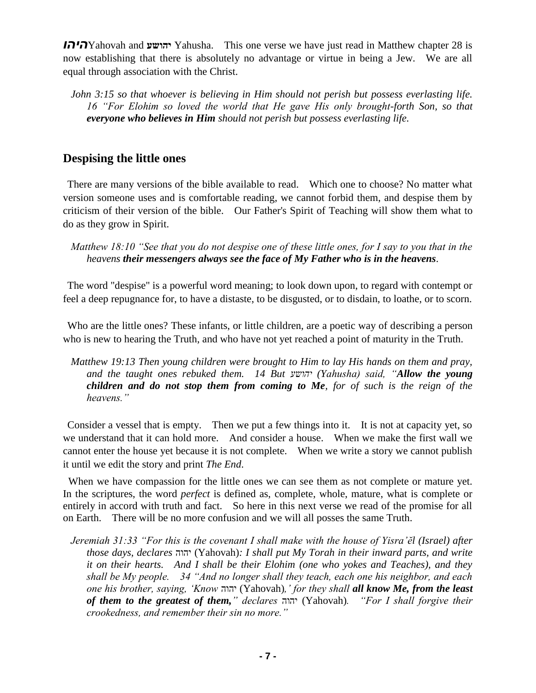*היהו*Yahovah and **יהושע** Yahusha. This one verse we have just read in Matthew chapter 28 is now establishing that there is absolutely no advantage or virtue in being a Jew. We are all equal through association with the Christ.

*John 3:15 so that whoever is believing in Him should not perish but possess everlasting life. 16 "For Elohim so loved the world that He gave His only brought-forth Son, so that everyone who believes in Him should not perish but possess everlasting life.*

#### **Despising the little ones**

There are many versions of the bible available to read. Which one to choose? No matter what version someone uses and is comfortable reading, we cannot forbid them, and despise them by criticism of their version of the bible. Our Father's Spirit of Teaching will show them what to do as they grow in Spirit.

*Matthew 18:10 "See that you do not despise one of these little ones, for I say to you that in the heavens their messengers always see the face of My Father who is in the heavens.*

The word "despise" is a powerful word meaning; to look down upon, to regard with contempt or feel a deep repugnance for, to have a distaste, to be disgusted, or to disdain, to loathe, or to scorn.

Who are the little ones? These infants, or little children, are a poetic way of describing a person who is new to hearing the Truth, and who have not yet reached a point of maturity in the Truth.

*Matthew 19:13 Then young children were brought to Him to lay His hands on them and pray, and the taught ones rebuked them. 14 But יהושע) Yahusha) said, "Allow the young children and do not stop them from coming to Me, for of such is the reign of the heavens."* 

Consider a vessel that is empty. Then we put a few things into it. It is not at capacity yet, so we understand that it can hold more. And consider a house. When we make the first wall we cannot enter the house yet because it is not complete. When we write a story we cannot publish it until we edit the story and print *The End*.

When we have compassion for the little ones we can see them as not complete or mature yet. In the scriptures, the word *perfect* is defined as, complete, whole, mature, what is complete or entirely in accord with truth and fact. So here in this next verse we read of the promise for all on Earth. There will be no more confusion and we will all posses the same Truth.

*Jeremiah 31:33 "For this is the covenant I shall make with the house of Yisra'ĕl (Israel) after those days, declares* יהוה) Yahovah)*: I shall put My Torah in their inward parts, and write it on their hearts. And I shall be their Elohim (one who yokes and Teaches), and they shall be My people. 34 "And no longer shall they teach, each one his neighbor, and each one his brother, saying, 'Know* יהוה) Yahovah)*,' for they shall all know Me, from the least of them to the greatest of them," declares* יהוה) Yahovah)*. "For I shall forgive their crookedness, and remember their sin no more."*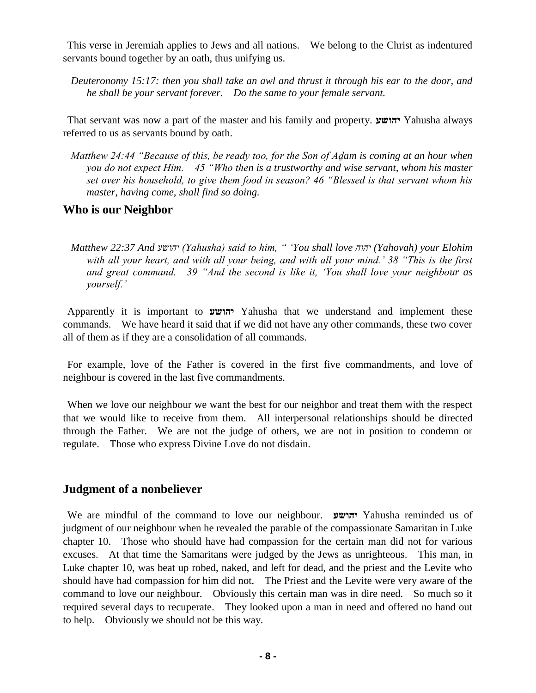This verse in Jeremiah applies to Jews and all nations. We belong to the Christ as indentured servants bound together by an oath, thus unifying us.

*Deuteronomy 15:17: then you shall take an awl and thrust it through his ear to the door, and he shall be your servant forever. Do the same to your female servant.*

That servant was now a part of the master and his family and property. **יהושע** Yahusha always referred to us as servants bound by oath.

*Matthew 24:44 "Because of this, be ready too, for the Son of Aḏam is coming at an hour when you do not expect Him. 45 "Who then is a trustworthy and wise servant, whom his master set over his household, to give them food in season? 46 "Blessed is that servant whom his master, having come, shall find so doing.*

#### **Who is our Neighbor**

*Matthew 22:37 And יהושע) Yahusha) said to him, " 'You shall love יהוה) Yahovah) your Elohim with all your heart, and with all your being, and with all your mind.' 38 "This is the first and great command. 39 "And the second is like it, 'You shall love your neighbour as yourself.'*

Apparently it is important to **יהושע** Yahusha that we understand and implement these commands. We have heard it said that if we did not have any other commands, these two cover all of them as if they are a consolidation of all commands.

For example, love of the Father is covered in the first five commandments, and love of neighbour is covered in the last five commandments.

When we love our neighbour we want the best for our neighbor and treat them with the respect that we would like to receive from them. All interpersonal relationships should be directed through the Father. We are not the judge of others, we are not in position to condemn or regulate. Those who express Divine Love do not disdain.

#### **Judgment of a nonbeliever**

We are mindful of the command to love our neighbour. **יהושע** Yahusha reminded us of judgment of our neighbour when he revealed the parable of the compassionate Samaritan in Luke chapter 10. Those who should have had compassion for the certain man did not for various excuses. At that time the Samaritans were judged by the Jews as unrighteous. This man, in Luke chapter 10, was beat up robed, naked, and left for dead, and the priest and the Levite who should have had compassion for him did not. The Priest and the Levite were very aware of the command to love our neighbour. Obviously this certain man was in dire need. So much so it required several days to recuperate. They looked upon a man in need and offered no hand out to help. Obviously we should not be this way.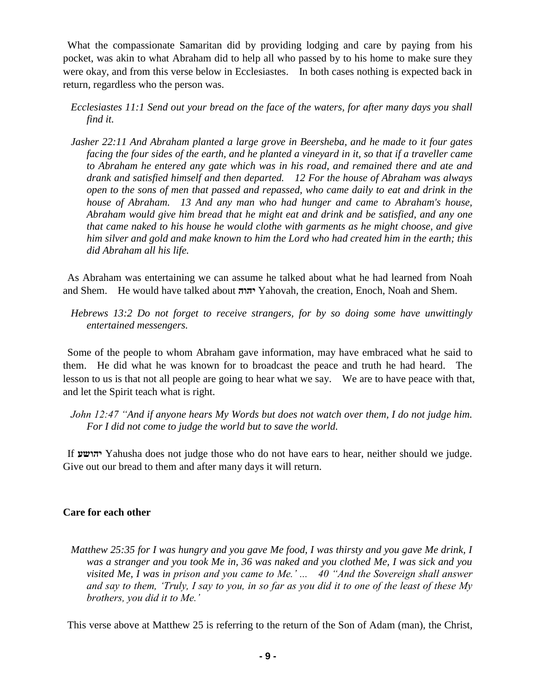What the compassionate Samaritan did by providing lodging and care by paying from his pocket, was akin to what Abraham did to help all who passed by to his home to make sure they were okay, and from this verse below in Ecclesiastes. In both cases nothing is expected back in return, regardless who the person was.

*Ecclesiastes 11:1 Send out your bread on the face of the waters, for after many days you shall find it.*

*Jasher 22:11 And Abraham planted a large grove in Beersheba, and he made to it four gates facing the four sides of the earth, and he planted a vineyard in it, so that if a traveller came to Abraham he entered any gate which was in his road, and remained there and ate and drank and satisfied himself and then departed. 12 For the house of Abraham was always open to the sons of men that passed and repassed, who came daily to eat and drink in the house of Abraham. 13 And any man who had hunger and came to Abraham's house, Abraham would give him bread that he might eat and drink and be satisfied, and any one that came naked to his house he would clothe with garments as he might choose, and give him silver and gold and make known to him the Lord who had created him in the earth; this did Abraham all his life.*

As Abraham was entertaining we can assume he talked about what he had learned from Noah and Shem. He would have talked about **יהוה** Yahovah, the creation, Enoch, Noah and Shem.

*Hebrews 13:2 Do not forget to receive strangers, for by so doing some have unwittingly entertained messengers.*

Some of the people to whom Abraham gave information, may have embraced what he said to them. He did what he was known for to broadcast the peace and truth he had heard. The lesson to us is that not all people are going to hear what we say. We are to have peace with that, and let the Spirit teach what is right.

*John 12:47 "And if anyone hears My Words but does not watch over them, I do not judge him. For I did not come to judge the world but to save the world.*

If **יהושע** Yahusha does not judge those who do not have ears to hear, neither should we judge. Give out our bread to them and after many days it will return.

#### **Care for each other**

*Matthew 25:35 for I was hungry and you gave Me food, I was thirsty and you gave Me drink, I was a stranger and you took Me in, 36 was naked and you clothed Me, I was sick and you visited Me, I was in prison and you came to Me.' ... 40 "And the Sovereign shall answer and say to them, 'Truly, I say to you, in so far as you did it to one of the least of these My brothers, you did it to Me.'*

This verse above at Matthew 25 is referring to the return of the Son of Adam (man), the Christ,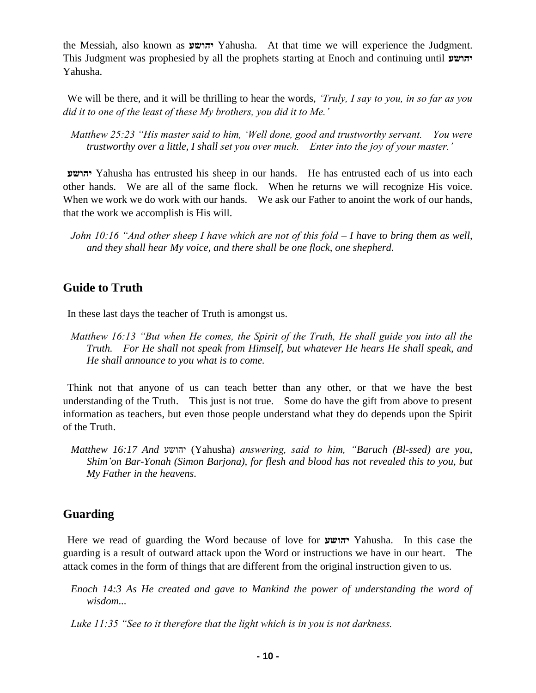the Messiah, also known as **יהושע** Yahusha. At that time we will experience the Judgment. This Judgment was prophesied by all the prophets starting at Enoch and continuing until **יהושע** Yahusha.

We will be there, and it will be thrilling to hear the words, *'Truly, I say to you, in so far as you did it to one of the least of these My brothers, you did it to Me.'*

*Matthew 25:23 "His master said to him, 'Well done, good and trustworthy servant. You were trustworthy over a little, I shall set you over much. Enter into the joy of your master.'*

**יהושע** Yahusha has entrusted his sheep in our hands. He has entrusted each of us into each other hands. We are all of the same flock. When he returns we will recognize His voice. When we work we do work with our hands. We ask our Father to anoint the work of our hands, that the work we accomplish is His will.

*John 10:16 "And other sheep I have which are not of this fold – I have to bring them as well, and they shall hear My voice, and there shall be one flock, one shepherd.*

## **Guide to Truth**

In these last days the teacher of Truth is amongst us.

*Matthew 16:13 "But when He comes, the Spirit of the Truth, He shall guide you into all the Truth. For He shall not speak from Himself, but whatever He hears He shall speak, and He shall announce to you what is to come.*

Think not that anyone of us can teach better than any other, or that we have the best understanding of the Truth. This just is not true. Some do have the gift from above to present information as teachers, but even those people understand what they do depends upon the Spirit of the Truth.

*Matthew 16:17 And* יהושע) Yahusha) *answering, said to him, "Baruch (Bl-ssed) are you, Shim'on Bar-Yonah (Simon Barjona), for flesh and blood has not revealed this to you, but My Father in the heavens.*

# **Guarding**

Here we read of guarding the Word because of love for **יהושע** Yahusha. In this case the guarding is a result of outward attack upon the Word or instructions we have in our heart. The attack comes in the form of things that are different from the original instruction given to us.

*Enoch 14:3 As He created and gave to Mankind the power of understanding the word of wisdom...*

*Luke 11:35 "See to it therefore that the light which is in you is not darkness.*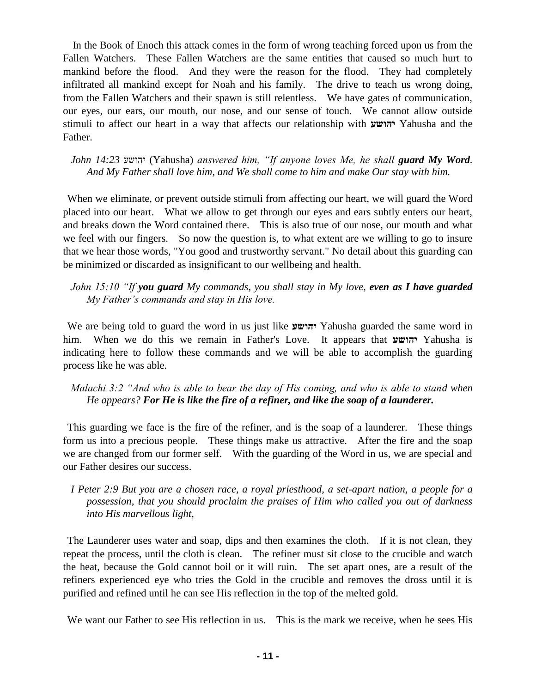In the Book of Enoch this attack comes in the form of wrong teaching forced upon us from the Fallen Watchers. These Fallen Watchers are the same entities that caused so much hurt to mankind before the flood. And they were the reason for the flood. They had completely infiltrated all mankind except for Noah and his family. The drive to teach us wrong doing, from the Fallen Watchers and their spawn is still relentless. We have gates of communication, our eyes, our ears, our mouth, our nose, and our sense of touch. We cannot allow outside stimuli to affect our heart in a way that affects our relationship with **יהושע** Yahusha and the Father.

*John 14:23* יהושע) Yahusha) *answered him, "If anyone loves Me, he shall guard My Word. And My Father shall love him, and We shall come to him and make Our stay with him.*

When we eliminate, or prevent outside stimuli from affecting our heart, we will guard the Word placed into our heart. What we allow to get through our eyes and ears subtly enters our heart, and breaks down the Word contained there. This is also true of our nose, our mouth and what we feel with our fingers. So now the question is, to what extent are we willing to go to insure that we hear those words, "You good and trustworthy servant." No detail about this guarding can be minimized or discarded as insignificant to our wellbeing and health.

*John 15:10 "If you guard My commands, you shall stay in My love, even as I have guarded My Father's commands and stay in His love.*

We are being told to guard the word in us just like **יהושע** Yahusha guarded the same word in him. When we do this we remain in Father's Love. It appears that **יהושע** Yahusha is indicating here to follow these commands and we will be able to accomplish the guarding process like he was able.

*Malachi 3:2 "And who is able to bear the day of His coming, and who is able to stand when He appears? For He is like the fire of a refiner, and like the soap of a launderer.*

This guarding we face is the fire of the refiner, and is the soap of a launderer. These things form us into a precious people. These things make us attractive. After the fire and the soap we are changed from our former self. With the guarding of the Word in us, we are special and our Father desires our success.

*I Peter 2:9 But you are a chosen race, a royal priesthood, a set-apart nation, a people for a possession, that you should proclaim the praises of Him who called you out of darkness into His marvellous light,*

The Launderer uses water and soap, dips and then examines the cloth. If it is not clean, they repeat the process, until the cloth is clean. The refiner must sit close to the crucible and watch the heat, because the Gold cannot boil or it will ruin. The set apart ones, are a result of the refiners experienced eye who tries the Gold in the crucible and removes the dross until it is purified and refined until he can see His reflection in the top of the melted gold.

We want our Father to see His reflection in us. This is the mark we receive, when he sees His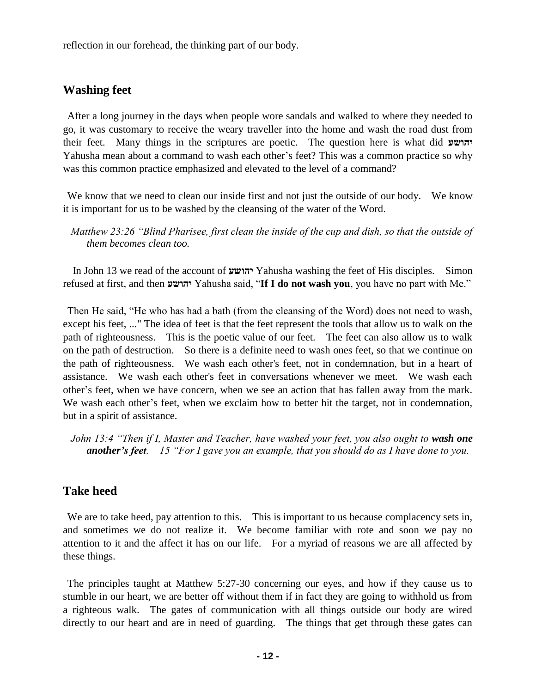reflection in our forehead, the thinking part of our body.

#### **Washing feet**

After a long journey in the days when people wore sandals and walked to where they needed to go, it was customary to receive the weary traveller into the home and wash the road dust from their feet. Many things in the scriptures are poetic. The question here is what did **יהושע** Yahusha mean about a command to wash each other's feet? This was a common practice so why was this common practice emphasized and elevated to the level of a command?

We know that we need to clean our inside first and not just the outside of our body. We know it is important for us to be washed by the cleansing of the water of the Word.

*Matthew 23:26 "Blind Pharisee, first clean the inside of the cup and dish, so that the outside of them becomes clean too.*

In John 13 we read of the account of **יהושע** Yahusha washing the feet of His disciples. Simon refused at first, and then **יהושע** Yahusha said, "**If I do not wash you**, you have no part with Me."

Then He said, "He who has had a bath (from the cleansing of the Word) does not need to wash, except his feet, ..." The idea of feet is that the feet represent the tools that allow us to walk on the path of righteousness. This is the poetic value of our feet. The feet can also allow us to walk on the path of destruction. So there is a definite need to wash ones feet, so that we continue on the path of righteousness. We wash each other's feet, not in condemnation, but in a heart of assistance. We wash each other's feet in conversations whenever we meet. We wash each other's feet, when we have concern, when we see an action that has fallen away from the mark. We wash each other's feet, when we exclaim how to better hit the target, not in condemnation, but in a spirit of assistance.

*John 13:4 "Then if I, Master and Teacher, have washed your feet, you also ought to wash one another's feet. 15 "For I gave you an example, that you should do as I have done to you.*

#### **Take heed**

We are to take heed, pay attention to this. This is important to us because complacency sets in, and sometimes we do not realize it. We become familiar with rote and soon we pay no attention to it and the affect it has on our life. For a myriad of reasons we are all affected by these things.

The principles taught at Matthew 5:27-30 concerning our eyes, and how if they cause us to stumble in our heart, we are better off without them if in fact they are going to withhold us from a righteous walk. The gates of communication with all things outside our body are wired directly to our heart and are in need of guarding. The things that get through these gates can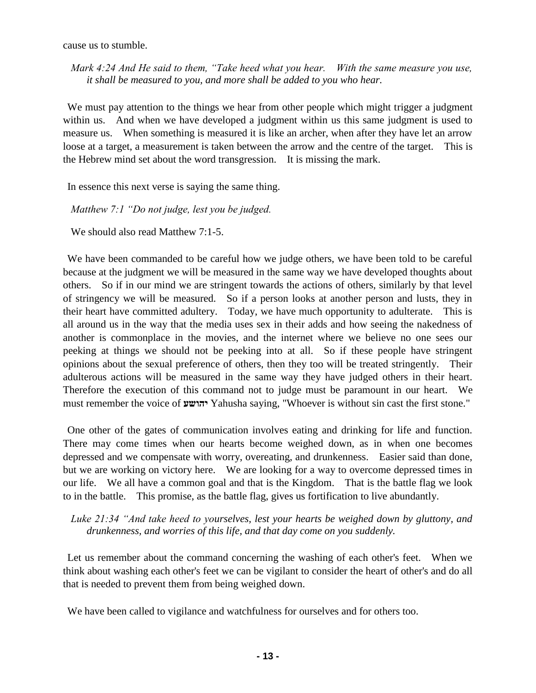cause us to stumble.

*Mark 4:24 And He said to them, "Take heed what you hear. With the same measure you use, it shall be measured to you, and more shall be added to you who hear.*

We must pay attention to the things we hear from other people which might trigger a judgment within us. And when we have developed a judgment within us this same judgment is used to measure us. When something is measured it is like an archer, when after they have let an arrow loose at a target, a measurement is taken between the arrow and the centre of the target. This is the Hebrew mind set about the word transgression. It is missing the mark.

In essence this next verse is saying the same thing.

*Matthew 7:1 "Do not judge, lest you be judged.* 

We should also read Matthew 7:1-5.

We have been commanded to be careful how we judge others, we have been told to be careful because at the judgment we will be measured in the same way we have developed thoughts about others. So if in our mind we are stringent towards the actions of others, similarly by that level of stringency we will be measured. So if a person looks at another person and lusts, they in their heart have committed adultery. Today, we have much opportunity to adulterate. This is all around us in the way that the media uses sex in their adds and how seeing the nakedness of another is commonplace in the movies, and the internet where we believe no one sees our peeking at things we should not be peeking into at all. So if these people have stringent opinions about the sexual preference of others, then they too will be treated stringently. Their adulterous actions will be measured in the same way they have judged others in their heart. Therefore the execution of this command not to judge must be paramount in our heart. We must remember the voice of **יהושע** Yahusha saying, "Whoever is without sin cast the first stone."

One other of the gates of communication involves eating and drinking for life and function. There may come times when our hearts become weighed down, as in when one becomes depressed and we compensate with worry, overeating, and drunkenness. Easier said than done, but we are working on victory here. We are looking for a way to overcome depressed times in our life. We all have a common goal and that is the Kingdom. That is the battle flag we look to in the battle. This promise, as the battle flag, gives us fortification to live abundantly.

*Luke 21:34 "And take heed to yourselves, lest your hearts be weighed down by gluttony, and drunkenness, and worries of this life, and that day come on you suddenly.*

Let us remember about the command concerning the washing of each other's feet. When we think about washing each other's feet we can be vigilant to consider the heart of other's and do all that is needed to prevent them from being weighed down.

We have been called to vigilance and watchfulness for ourselves and for others too.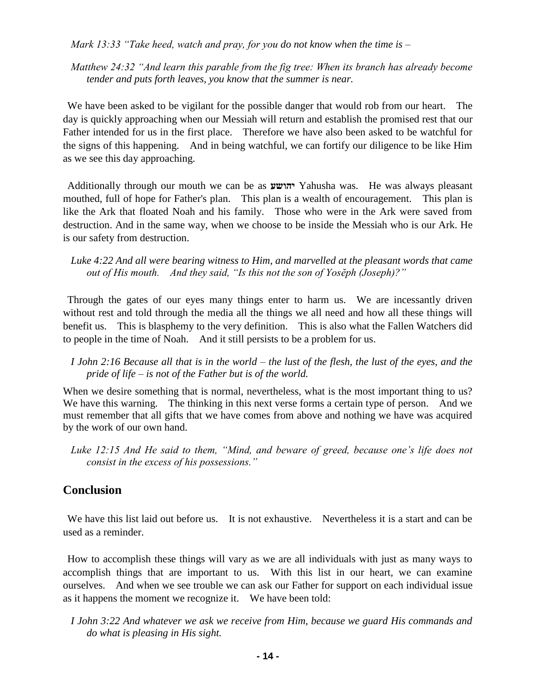*Mark 13:33 "Take heed, watch and pray, for you do not know when the time is –*

*Matthew 24:32 "And learn this parable from the fig tree: When its branch has already become tender and puts forth leaves, you know that the summer is near.*

We have been asked to be vigilant for the possible danger that would rob from our heart. The day is quickly approaching when our Messiah will return and establish the promised rest that our Father intended for us in the first place. Therefore we have also been asked to be watchful for the signs of this happening. And in being watchful, we can fortify our diligence to be like Him as we see this day approaching.

Additionally through our mouth we can be as **יהושע** Yahusha was. He was always pleasant mouthed, full of hope for Father's plan. This plan is a wealth of encouragement. This plan is like the Ark that floated Noah and his family. Those who were in the Ark were saved from destruction. And in the same way, when we choose to be inside the Messiah who is our Ark. He is our safety from destruction.

*Luke 4:22 And all were bearing witness to Him, and marvelled at the pleasant words that came out of His mouth. And they said, "Is this not the son of Yosĕph (Joseph)?"*

Through the gates of our eyes many things enter to harm us. We are incessantly driven without rest and told through the media all the things we all need and how all these things will benefit us. This is blasphemy to the very definition. This is also what the Fallen Watchers did to people in the time of Noah. And it still persists to be a problem for us.

*I John 2:16 Because all that is in the world – the lust of the flesh, the lust of the eyes, and the pride of life – is not of the Father but is of the world.*

When we desire something that is normal, nevertheless, what is the most important thing to us? We have this warning. The thinking in this next verse forms a certain type of person. And we must remember that all gifts that we have comes from above and nothing we have was acquired by the work of our own hand.

*Luke 12:15 And He said to them, "Mind, and beware of greed, because one's life does not consist in the excess of his possessions."*

## **Conclusion**

We have this list laid out before us. It is not exhaustive. Nevertheless it is a start and can be used as a reminder.

How to accomplish these things will vary as we are all individuals with just as many ways to accomplish things that are important to us. With this list in our heart, we can examine ourselves. And when we see trouble we can ask our Father for support on each individual issue as it happens the moment we recognize it. We have been told:

*I John 3:22 And whatever we ask we receive from Him, because we guard His commands and do what is pleasing in His sight.*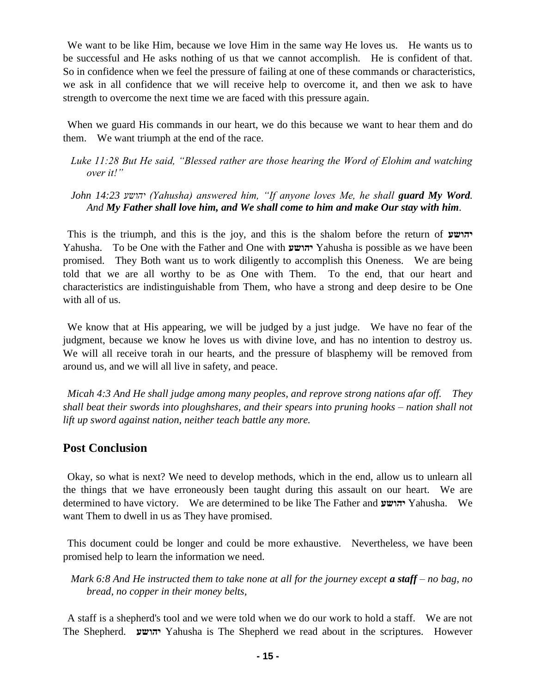We want to be like Him, because we love Him in the same way He loves us. He wants us to be successful and He asks nothing of us that we cannot accomplish. He is confident of that. So in confidence when we feel the pressure of failing at one of these commands or characteristics, we ask in all confidence that we will receive help to overcome it, and then we ask to have strength to overcome the next time we are faced with this pressure again.

When we guard His commands in our heart, we do this because we want to hear them and do them. We want triumph at the end of the race.

#### *Luke 11:28 But He said, "Blessed rather are those hearing the Word of Elohim and watching over it!"*

#### *John 14:23 יהושע) Yahusha) answered him, "If anyone loves Me, he shall guard My Word. And My Father shall love him, and We shall come to him and make Our stay with him.*

This is the triumph, and this is the joy, and this is the shalom before the return of **יהושע** Yahusha. To be One with the Father and One with **יהושע** Yahusha is possible as we have been promised. They Both want us to work diligently to accomplish this Oneness. We are being told that we are all worthy to be as One with Them. To the end, that our heart and characteristics are indistinguishable from Them, who have a strong and deep desire to be One with all of us.

We know that at His appearing, we will be judged by a just judge. We have no fear of the judgment, because we know he loves us with divine love, and has no intention to destroy us. We will all receive torah in our hearts, and the pressure of blasphemy will be removed from around us, and we will all live in safety, and peace.

*Micah 4:3 And He shall judge among many peoples, and reprove strong nations afar off. They shall beat their swords into ploughshares, and their spears into pruning hooks – nation shall not lift up sword against nation, neither teach battle any more.*

#### **Post Conclusion**

Okay, so what is next? We need to develop methods, which in the end, allow us to unlearn all the things that we have erroneously been taught during this assault on our heart. We are determined to have victory. We are determined to be like The Father and **יהושע** Yahusha. We want Them to dwell in us as They have promised.

This document could be longer and could be more exhaustive. Nevertheless, we have been promised help to learn the information we need.

*Mark 6:8 And He instructed them to take none at all for the journey except a staff – no bag, no bread, no copper in their money belts,*

A staff is a shepherd's tool and we were told when we do our work to hold a staff. We are not The Shepherd. **יהושע** Yahusha is The Shepherd we read about in the scriptures. However